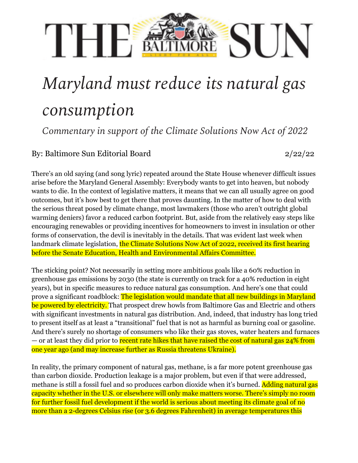## THE SUN

## *Maryland must reduce its natural gas consumption*

*Commentary in support of the Climate Solutions Now Act of 2022*

## By: Baltimore Sun Editorial Board 2/22/22

There's an old saying (and song lyric) repeated around the State House whenever difficult issues arise before the Maryland General Assembly: Everybody wants to get into heaven, but nobody wants to die. In the context of legislative matters, it means that we can all usually agree on good outcomes, but it's how best to get there that proves daunting. In the matter of how to deal with the serious threat posed by climate change, most lawmakers (those who aren't outright global warming deniers) favor a reduced carbon footprint. But, aside from the relatively easy steps like encouraging renewables or providing incentives for homeowners to invest in insulation or other forms of conservation, the devil is inevitably in the details. That was evident last week when landmark climate legislation, the Climate [Solutions](https://mgaleg.maryland.gov/mgawebsite/Legislation/Details/sb0528?ys=2022RS) Now Act of 2022, received its first hearing before the Senate Education, Health and Environmental Affairs Committee.

The sticking point? Not necessarily in setting more ambitious goals like a 60% reduction in greenhouse gas emissions by 2030 (the state is currently on track for a 40% reduction in eight years), but in specific measures to reduce natural gas consumption. And [here's](https://www.marylandmatters.org/2022/02/16/in-marathon-hearing-senators-consider-sweeping-climate-change-legislation-that-aims-to-slash-emissions-from-buildings/) one that could prove a [significant](https://www.marylandmatters.org/2022/02/16/in-marathon-hearing-senators-consider-sweeping-climate-change-legislation-that-aims-to-slash-emissions-from-buildings/) roadblock: The legislation would mandate that all new buildings in Maryland be powered by electricity. That prospect drew howls from Baltimore Gas and Electric and others with significant investments in natural gas distribution. And, indeed, that industry has long tried to present itself as at least a "transitional" fuel that is not as harmful as burning coal or gasoline. And there's surely no shortage of consumers who like their gas stoves, water heaters and furnaces — or at least they did prior to recent rate hikes that have raised the cost of natural gas 24% from one year ago (and may increase further as Russia threatens Ukraine).

In reality, the primary component of natural gas, methane, is a far more potent greenhouse gas than carbon dioxide. Production leakage is a major problem, but even if that were addressed, methane is still a fossil fuel and so produces carbon dioxide when it's burned. Adding natural gas capacity whether in the U.S. or elsewhere will only make matters worse. There's simply no room for further fossil fuel development if the world is serious about meeting its climate goal of no more than a 2-degrees Celsius rise (or 3.6 degrees Fahrenheit) in average temperatures this